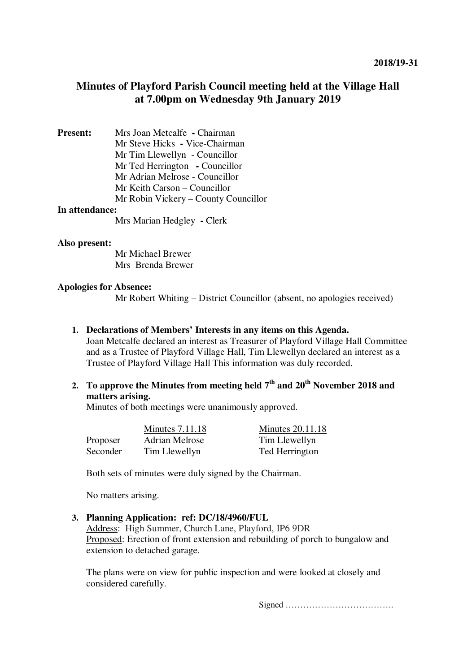## **Minutes of Playford Parish Council meeting held at the Village Hall at 7.00pm on Wednesday 9th January 2019**

| <b>Present:</b> | Mrs Joan Metcalfe - Chairman         |
|-----------------|--------------------------------------|
|                 | Mr Steve Hicks - Vice-Chairman       |
|                 | Mr Tim Llewellyn - Councillor        |
|                 | Mr Ted Herrington - Councillor       |
|                 | Mr Adrian Melrose - Councillor       |
|                 | Mr Keith Carson – Councillor         |
|                 | Mr Robin Vickery – County Councillor |
| In attendance:  |                                      |

Mrs Marian Hedgley **-** Clerk

#### **Also present:**

 Mr Michael Brewer Mrs Brenda Brewer

#### **Apologies for Absence:**

Mr Robert Whiting – District Councillor (absent, no apologies received)

## **1. Declarations of Members' Interests in any items on this Agenda.**

Joan Metcalfe declared an interest as Treasurer of Playford Village Hall Committee and as a Trustee of Playford Village Hall, Tim Llewellyn declared an interest as a Trustee of Playford Village Hall This information was duly recorded.

**2. To approve the Minutes from meeting held 7th and 20th November 2018 and matters arising.** 

Minutes of both meetings were unanimously approved.

|          | <b>Minutes 7.11.18</b> | Minutes 20.11.18 |
|----------|------------------------|------------------|
| Proposer | Adrian Melrose         | Tim Llewellyn    |
| Seconder | Tim Llewellyn          | Ted Herrington   |

Both sets of minutes were duly signed by the Chairman.

No matters arising.

#### **3. Planning Application: ref: DC/18/4960/FUL**

Address: High Summer, Church Lane, Playford, IP6 9DR Proposed: Erection of front extension and rebuilding of porch to bungalow and extension to detached garage.

The plans were on view for public inspection and were looked at closely and considered carefully.

Signed ……………………………….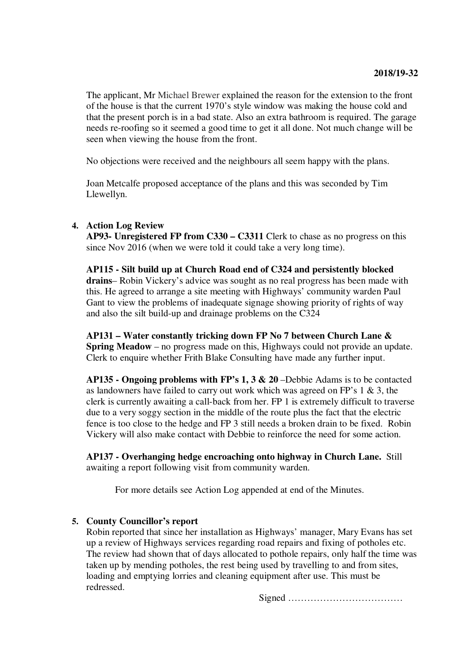The applicant, Mr Michael Brewer explained the reason for the extension to the front of the house is that the current 1970's style window was making the house cold and that the present porch is in a bad state. Also an extra bathroom is required. The garage needs re-roofing so it seemed a good time to get it all done. Not much change will be seen when viewing the house from the front.

No objections were received and the neighbours all seem happy with the plans.

Joan Metcalfe proposed acceptance of the plans and this was seconded by Tim Llewellyn.

## **4. Action Log Review**

**AP93- Unregistered FP from C330 – C3311** Clerk to chase as no progress on this since Nov 2016 (when we were told it could take a very long time).

**AP115 - Silt build up at Church Road end of C324 and persistently blocked drains**– Robin Vickery's advice was sought as no real progress has been made with this. He agreed to arrange a site meeting with Highways' community warden Paul Gant to view the problems of inadequate signage showing priority of rights of way and also the silt build-up and drainage problems on the C324

**AP131 – Water constantly tricking down FP No 7 between Church Lane & Spring Meadow** – no progress made on this, Highways could not provide an update. Clerk to enquire whether Frith Blake Consulting have made any further input.

**AP135 - Ongoing problems with FP's 1, 3 & 20** –Debbie Adams is to be contacted as landowners have failed to carry out work which was agreed on FP's 1 & 3, the clerk is currently awaiting a call-back from her. FP 1 is extremely difficult to traverse due to a very soggy section in the middle of the route plus the fact that the electric fence is too close to the hedge and FP 3 still needs a broken drain to be fixed. Robin Vickery will also make contact with Debbie to reinforce the need for some action.

**AP137 - Overhanging hedge encroaching onto highway in Church Lane.** Still awaiting a report following visit from community warden.

For more details see Action Log appended at end of the Minutes.

## **5. County Councillor's report**

Robin reported that since her installation as Highways' manager, Mary Evans has set up a review of Highways services regarding road repairs and fixing of potholes etc. The review had shown that of days allocated to pothole repairs, only half the time was taken up by mending potholes, the rest being used by travelling to and from sites, loading and emptying lorries and cleaning equipment after use. This must be redressed.

Signed ………………………………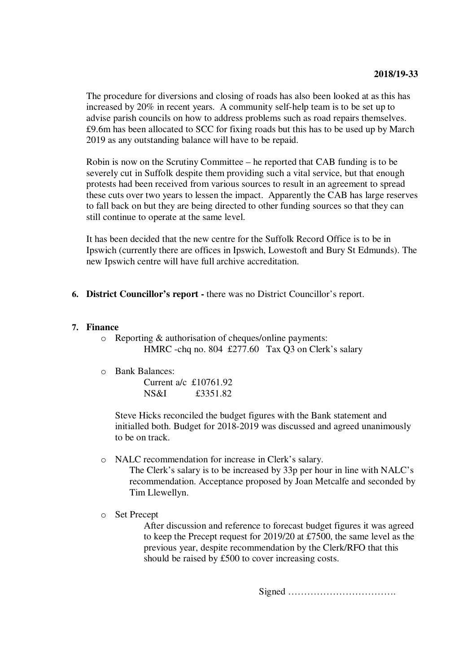The procedure for diversions and closing of roads has also been looked at as this has increased by 20% in recent years. A community self-help team is to be set up to advise parish councils on how to address problems such as road repairs themselves. £9.6m has been allocated to SCC for fixing roads but this has to be used up by March 2019 as any outstanding balance will have to be repaid.

Robin is now on the Scrutiny Committee – he reported that CAB funding is to be severely cut in Suffolk despite them providing such a vital service, but that enough protests had been received from various sources to result in an agreement to spread these cuts over two years to lessen the impact. Apparently the CAB has large reserves to fall back on but they are being directed to other funding sources so that they can still continue to operate at the same level.

It has been decided that the new centre for the Suffolk Record Office is to be in Ipswich (currently there are offices in Ipswich, Lowestoft and Bury St Edmunds). The new Ipswich centre will have full archive accreditation.

**6. District Councillor's report -** there was no District Councillor's report.

## **7. Finance**

- o Reporting & authorisation of cheques/online payments: HMRC -chq no. 804 £277.60 Tax Q3 on Clerk's salary
- o Bank Balances:

Current a/c £10761.92 NS&I £3351.82

Steve Hicks reconciled the budget figures with the Bank statement and initialled both. Budget for 2018-2019 was discussed and agreed unanimously to be on track.

o NALC recommendation for increase in Clerk's salary.

The Clerk's salary is to be increased by 33p per hour in line with NALC's recommendation. Acceptance proposed by Joan Metcalfe and seconded by Tim Llewellyn.

o Set Precept

After discussion and reference to forecast budget figures it was agreed to keep the Precept request for 2019/20 at £7500, the same level as the previous year, despite recommendation by the Clerk/RFO that this should be raised by £500 to cover increasing costs.

Signed …………………………….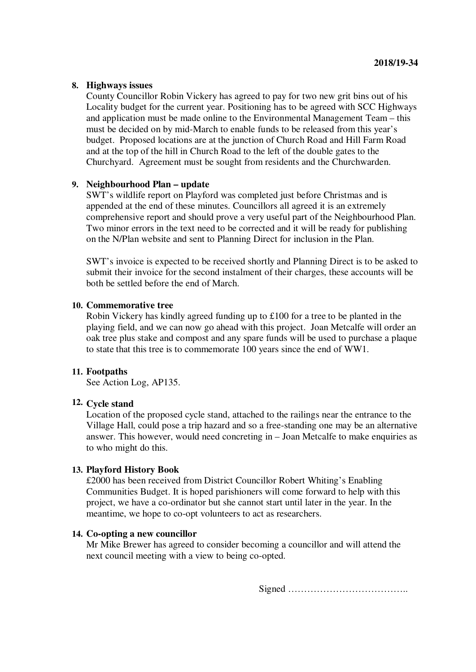## **8. Highways issues**

County Councillor Robin Vickery has agreed to pay for two new grit bins out of his Locality budget for the current year. Positioning has to be agreed with SCC Highways and application must be made online to the Environmental Management Team – this must be decided on by mid-March to enable funds to be released from this year's budget. Proposed locations are at the junction of Church Road and Hill Farm Road and at the top of the hill in Church Road to the left of the double gates to the Churchyard. Agreement must be sought from residents and the Churchwarden.

## **9. Neighbourhood Plan – update**

SWT's wildlife report on Playford was completed just before Christmas and is appended at the end of these minutes. Councillors all agreed it is an extremely comprehensive report and should prove a very useful part of the Neighbourhood Plan. Two minor errors in the text need to be corrected and it will be ready for publishing on the N/Plan website and sent to Planning Direct for inclusion in the Plan.

SWT's invoice is expected to be received shortly and Planning Direct is to be asked to submit their invoice for the second instalment of their charges, these accounts will be both be settled before the end of March.

#### **10. Commemorative tree**

Robin Vickery has kindly agreed funding up to £100 for a tree to be planted in the playing field, and we can now go ahead with this project. Joan Metcalfe will order an oak tree plus stake and compost and any spare funds will be used to purchase a plaque to state that this tree is to commemorate 100 years since the end of WW1.

#### **11. Footpaths**

See Action Log, AP135.

## **12. Cycle stand**

Location of the proposed cycle stand, attached to the railings near the entrance to the Village Hall, could pose a trip hazard and so a free-standing one may be an alternative answer. This however, would need concreting in – Joan Metcalfe to make enquiries as to who might do this.

#### **13. Playford History Book**

£2000 has been received from District Councillor Robert Whiting's Enabling Communities Budget. It is hoped parishioners will come forward to help with this project, we have a co-ordinator but she cannot start until later in the year. In the meantime, we hope to co-opt volunteers to act as researchers.

#### **14. Co-opting a new councillor**

Mr Mike Brewer has agreed to consider becoming a councillor and will attend the next council meeting with a view to being co-opted.

Signed ………………………………..